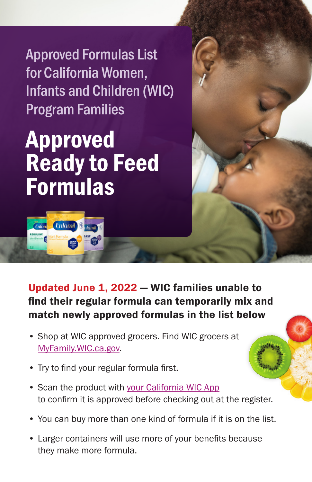Approved Formulas List for California Women, Infants and Children (WIC) Program Families

## Approved Ready to Feed Formulas



Updated June 1, 2022 — WIC families unable to find their regular formula can temporarily mix and match newly approved formulas in the list below

- Shop at WIC approved grocers. Find WIC grocers at [MyFamily.WIC.ca.gov.](http://MyFamily.WIC.ca.gov)
- Try to find your regular formula first.
- Scan the product with [your California WIC App](https://www.myfamily.wic.ca.gov/Home/WICApp#WICApp)  to confirm it is approved before checking out at the register.
- You can buy more than one kind of formula if it is on the list.
- Larger containers will use more of your benefits because they make more formula.